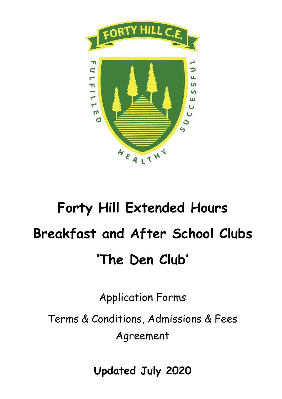

# **Forty Hill Extended Hours Breakfast and After School Clubs 'The Den Club'**

Application Forms

Terms & Conditions, Admissions & Fees Agreement

**Updated July 2020**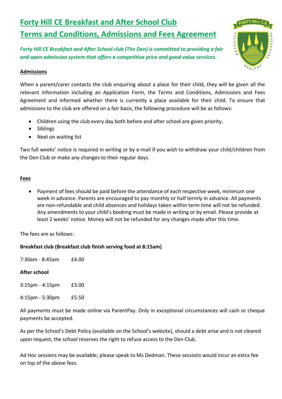# **Forty Hill CE Breakfast and After School Club Terms and Conditions, Admissions and Fees Agreement**

*Forty Hill CE Breakfast and After School club (The Den) is committed to providing a fair and open admission system that offers a competitive price and good value services.*

#### **Admissions**

When a parent/carer contacts the club enquiring about a place for their child, they will be given all the relevant information including an Application Form, the Terms and Conditions, Admissions and Fees Agreement and informed whether there is currently a place available for their child. To ensure that admissions to the club are offered on a fair basis, the following procedure will be as follows:

- Children using the club every day both before and after school are given priority.
- Siblings
- Next on waiting list

Two full weeks' notice is required in writing or by e-mail if you wish to withdraw your child/children from the Den Club or make any changes to their regular days.

## **Fees**

 Payment of fees should be paid before the attendance of each respective week, minimum one week in advance. Parents are encouraged to pay monthly or half termly in advance. All payments are non-refundable and child absences and holidays taken within term time will not be refunded. Any amendments to your child's booking must be made in writing or by email. Please provide at least 2 weeks' notice. Money will not be refunded for any changes made after this time.

The fees are as follows:

## **Breakfast club (Breakfast club finish serving food at 8:15am)**

7:30am - 8:45am £4.00

## **After school**

- 3:15pm 4:15pm £3.00
- 4:15pm 5:30pm £5.50

All payments must be made online via ParentPay. Only in exceptional circumstances will cash or cheque payments be accepted.

As per the School's Debt Policy (available on the School's website), should a debt arise and is not cleared upon request, the school reserves the right to refuse access to the Den Club.

Ad Hoc sessions may be available; please speak to Ms Dedman. These sessions would incur an extra fee on top of the above fees.